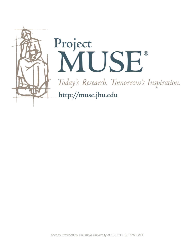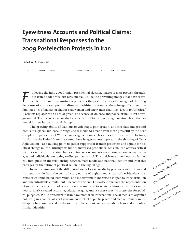# **Eyewitness Accounts and Political Claims: Transnational Responses to the 2009 Postelection Protests in Iran**

# Janet A. Alexanian

ollowing the June 2009 Iranian presidential election, images of mass protests throughout Iran flooded Western news media. Unlike the prevailing images that have represented Iran in the mainstream press over the past three decades, images of the 2009 demonstrations showed political dissension within the country; these images disrupted the familiar ones of masses of chador-clad women and angry men chanting "Death to America." Black was replaced with a sea of green, and scenes of violence and police brutality were foregrounded. The use of social media became central to the emerging narrative about the potential for revolution or social change.

The growing ability of Iranians to videotape, photograph, and circulate images and events to a global audience through social media was made even more powerful by the near complete dependence of Western news agencies on such sources for information. In turn, Iranians in the United States have used these images—most important, the shooting of Neda Agha-Soltan—as a rallying point to gather support for Iranian protesters and agitate for political change in Iran. During this time of increased geopolitical tension, Iran offers a critical site to examine the escalating battles between governments attempting to control media images and individuals attempting to disrupt that control. This article examines how such battles call into question the relationship between mass media and national identity and what this presages for the future of political action in the digital age.

In an examination of the differential uses of social media by protesters within Iran and Iranians outside Iran, the contradictory nature of digital media—as both evidentiary (because of its unmediated truth value) and indeterminate (because it is open to transformation and uncontrollable circulation)—becomes evident. This article analyzes the representation of social media as a form of "eyewitness account" and its related claims to truth. I examine how variously situated actors negotiate, navigate, and use these specific properties for political purposes. While protesters in Iran have mobilized transnational social media to organize politically in a context of strict government control of public places and media, Iranians in the diaspora have used social media to disrupt hegemonic narratives about Iran and articulate Iranian identities.

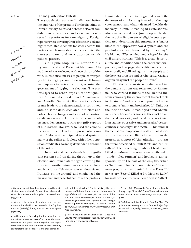### **The 2009 Postelection Protests**

The 2009 election was a media affair well before the outbreak of the protests. For the first time in Iranian history, televised debates between candidates were broadcast, and social media sites served as platforms for campaigning. Foreign reporters were covering Iran's first televised and highly mediated elections for weeks before the protests, and Iranian state media celebrated the state's transparent and participatory democratic political process.

On 12 June 2009, Iran's Interior Ministry announced that President Mahmoud Ahmadinejad was reelected with two-thirds of the vote. In response, masses of people converged (without a legal permit to do so) on Tehran's main squares to protest the result, accusing the government of rigging the election.1 The protests spread to other large cities throughout Iran. Although dismissed by both Ahmadinejad and Ayatollah Sayyed Ali Khamenei (Iran's supreme leader), the demonstrations continued and, on some days, escalated into riots and police clashes. Images and signs of opposition candidates were visible, especially the green colors most demonstrators wore to signify support of Mir Hossein Mousavi, who used the color as the signature emblem for his presidential campaign.2 Mousavi participated in and spoke at many of the rallies and, along with other opposition candidates, formally demanded a recount of the votes.3

International media already had a significant presence in Iran during the run-up to the election and immediately began covering the story in up-to-the-minute news reports, blogs, and broadcasts.4 Television reporters interviewed Iranians "on the ground" and emphasized the massive size and peaceful nature of the protests.

Iranian state media initially ignored news of the demonstrations, focusing instead on the huge voter turnout and what it deemed "healthy democracy" in Iran. Ahmadinejad's state address, which was televised on 13 June 2009, applauded the fact that 84 percent of eligible voters participated, describing this turnout as a "major blow to the oppressive world system and the psychological war launched by the enemy."5 He blamed "Western-led media hype" for the civil unrest, stating: "This is a great victory at a time and condition when the entire material, political, and propaganda facilities outside Iran were totally mobilized against the people and the heaviest pressure and psychological warfare organized against the people of Iran."6

The theme of Western media provoking the demonstrations was reiterated by Khamenei, who warned Iranians of the "behind-thescenes moves by the enemy meant to spark riots in the streets" and called on opposition leaders to promote "unity and brotherhood."7 Unity was the theme of both Ahmadinejad's and Khamenei's speeches and sermons as they cast an authentic, democratic, and social justice–oriented Iran against oppressive and imperialist Western countries that sought its downfall. This familiar theme was also emphasized in state news stories and Iranian state satellite television about the protests in support of Ahmadinejad—protests that were described as "anti-West" and "unity" rallies.8 The increasing number of beaten and killed pro-Mousavi protesters was attributed to "unidentified gunmen" and hooligans; any responsibility on the part of the *basij* (described as "hard-line volunteer paramilitaries" on most news programs) was denied. In the Press TV news story "Several Killed at Pro-Mousavi Rally," for instance, victims were described as "attack-

1. Maidan-e Azadi (Freedom Square) was the main site for these protests in Tehran. It was also a main site of demonstrations during the Iranian revolution (1979–80).

2. Mousavi, the reformist candidate and the runner-up in the election, had served as Iran's prime minister (1981–89) during most of the Iran-Iraq war (1980–88).

3. In the months following the June election, the opposition movement was often called the Green Movement, and green became a symbol used in protests both in Iran and around the world to signify support for the demonstrators and their demands.

4. In a statement by Iran's Foreign Ministry, the large presence of international reporters in Iran was "a sign of the total transparency in the trends of the elections and the effective performance of the system of religious democracy." Quoted in "Iran: Foreign Media Supporting 'Hooligans,'" CNN.com, 17 June 2009, www.cnn.com/2009/WORLD/meast/06/17 /iran.journalists.

5. "President Joins Sea of Celebrations: Election a Blow to World Oppressors," *Keyhan International*, 15 June 2009, www.kayhanintl.com/.

7. "Leader Tells Mousavi to Pursue Protest Calmly, through Legal Channels," *Tehran Times*, 16 June 2009, www.tehrantimes.com/index\_View.asp?code= 196811.

8. "In Tehran, Anti-West Protests Erupt Too," Press TV, 15 June 2009, www.presstv.ir/; "Ahmadinejad Supporters Hold Unity Rally," Press TV, 16 June 2009, www .presstv.ir/.

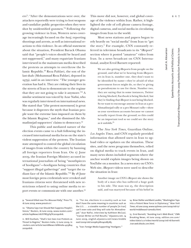ers": "After the demonstrations were over, the attackers reportedly were trying to loot weapons and vandalize public properties when they were shot by unidentified gunmen."9 Following the growing violence in Iran, Western news coverage increasingly focused on the *basij*, reporting shootings and arrests, as well as international reactions to this violence. In an official statement about the situation, President Barack Obama said that "people's voices should be heard and not suppressed," and many expatriate Iranians interviewed in the mainstream media described the protests as attempts to overthrow the Islamic Republic.10 Reza Pahlavi, the son of the last shah (Mohammad Reza Pahlavi, deposed in 1979), said in an interview: "The younger generation has had it. They are risking their lives in the streets of Iran to demonstrate to the regime that they are not going to take it anymore."11 A similar sentiment was voiced by Azar Nafisi, who was regularly interviewed on international news. She stated that "[the protest movement] is great because it disproves the myth that Iranian people want the extreme laws imposed on them by the Islamic Regime," and she dismissed the Ahmadinejad supporters' claims to democracy.12

This public and mediated nature of the election events came to a halt following the increased international media focus on the state's violent suppression of the protests. The Iranian state attempted to control the global circulation of images from within the country by banning all foreign reporters from Iran. On 17 June 2009, the Iranian Foreign Ministry accused international journalists of being "mouthpieces of hooligans"—hooligans being countries that "support illegal gatherings" and "target the radiant face of the Islamic Republic."13 By 18 June most foreign press credentials were revoked and Iranians citizens were threatened with new restrictions related to using online media to report events or communicate with one another.<sup>14</sup>

This move did not, however, end global coverage of the violence within Iran. Rather, it highlighted the role of cell phone camera footage, digital cameras, and social media in circulating images from Iran to the world.

Most news stations and papers began to rely heavily on "social media" from Iran to "get the story." For example, CNN constantly referred in television broadcasts to its "iReport" section where it posted "amateur" video from Iran. In a news broadcast on CNN International, analyst Errol Barnett reported:

> We are also getting iReports from people on the ground, and what we're hearing from iReporters in Iran is, number one, they don't want to be identified by name—they're afraid of what government forces might do, so they're giving us pseudonyms to use for them. Number two, they are saying that in some instances, Twitter is being blocked, Facebook is being blocked, but they're finding that iReport is not being blocked. So we want to encourage anyone in Iran at a pro-Ahmadinejad rally or a pro-Mousavi rally—show us your eyewitness accounts because we cannot actually report from the ground; so this could be an important tool so we could see the story as it unfolds.<sup>15</sup>

The *New York Times*, Guardian Online, *Los Angeles Times*, and CNN regularly provided information that allowed users in Iran to upload video or updates on the situation. These sites, and the news programs themselves, relied on digital media to track events in Iran, and many news shows included segments where the anchor would explain images being shown on YouTube on a monitor. In a news story on CNN's Web site, iReport videos were used to describe the situation in Iran:

> Another image on CNN's iReport site shows the body of a man who has suffered a huge gash to his side. The man was 25, the description said, and was martyred because of his belief in

12. "For me, elections in a country such as Iran don't have the same meaning in countries such as the U.S. . . . a sizeable number of people [in Iran] can't even vote and they will vote for Ahmadinejad." Azar Nafisi, interview by Kathleen McCaul, "Iranian Writer on Poll Results," Aljazeera.net, 14 June 2009, english.aljazeera.net/news/middle east/2009/06/2009613181040285185.

13. "Iran: Foreign Media Supporting 'Hooligans.'"

14. Brian Stelter and Mark Landler, "Washington Taps into a Potent New Force in Diplomacy," *New York Times*,16 June 2009, www.nytimes.com/2009/06/17/ world/middleeast/17media.html.

15. Errol Barnett, "Avoiding Iran's Web Block," CNN Breaking News, 16 June 2009, edition.cnn.com/ video/data/2.0/video/world/2009/06/16/barnett .iran.web.blocks.cnn.html.

Eyewitness Accounts and Political Claims:

Eyewitness Accounts and Political Claims:

Janet A. Alexanian

<sup>9.</sup> "Several Killed near Pro-Mousavi Rally," Press TV, 16 June 2009, www.presstv.ir/.

<sup>10.</sup> "Obama Says Iran Should Not Suppress People's Voices," Reuters, 16 June 2009, www.reuters.com/ article/topNews/idUSTRE55F4TK20090616.

<sup>11.</sup> Will Dunham, "Shah's Son Sees Iran Protests as Threat to Regime," Reuters India, 17 June 2009, in .reuters.com/article/worldNews/idINIndia-403824 20090616.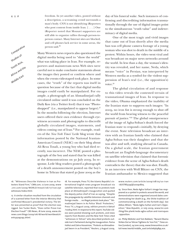

freedom. In yet another video, posted without a description, a screaming crowd surrounds a man's body. CNN is not identifying iReporters who post content from inside Iran. [ . . . ] One iReporter noted that Mousavi supporters are still able to organize rallies through person-toperson contact. Many Internet sites are blocked, and cell phones lack service in some areas, the person said.<sup>16</sup>

Many Western news reports also questioned the digital media being used to "show the world" what was taking place in Iran. For example, reporters and mainstream news Web sites were careful not to make conclusive statements about the images they posted or confirm where and when the events videotaped took place. In some cases, the "truth" of the reports was itself in question because of the fact that digital media images could easily be manipulated. For example, a photograph of an Ahmadinejad rally circulated online until it was concluded on the Daily Kos (via a Twitter feed) that it was "Photoshopped" (i.e., manipulated to appear larger).<sup>17</sup> In the months following the election, Internet users offered their own evidence through eyewitness accounts and photographs to discredit globally circulated images, statements, and videos coming out of Iran.<sup>18</sup> For example, readers of the *New York Times*' Lede blog wrote that information posted by the National Iranian-American Council (NIAC) on their blog about Ali Reza Tosali, a young boy who had died recently, was incorrect. The NIAC posted a photograph of the boy and stated that he was killed at the demonstrations on 30 July 2009. In response, Lede blog readers posted a photograph of a death announcement posted on the boy's home in Tehran that stated 30 June 2009 as the

16. "Witnesses Describe Violence in Iran as Protesters Stand Firm," CNN.com, 17 June 2009, www .cnn.com/2009/WORLD/meast/06/17/iran.eye witnesses/index.html.

17. A similar situation resulted from the circulation of a scanned letter from the Interior Ministry that confirmed Mousavi's presidential victory. The letter was presented as proof that the election was rigged. See Tucker Reals, "Does Letter Prove Iran Election Fraud?" CBS News, 18 June 2009, www.cbs news.com/blogs/2009/06/18/world/worldwatch/ entry5095195.shtml.

18. For example, Press TV, the Islamic Republic's international English news program broadcast via satellite television, reported that no protests took place at Ahmadinejad's inauguration and quoted the deputy police chief of Iran as saying, "Despite the propaganda by satellite television channels and foreign media . . . no illegal protests took place." "Ahmadinejad Sworn in As Police 'Block' Protesters," Press TV, 5 August 2009, edition.presstv.ir/detail /102614.html. In response to this report, YouTube videos were posted showing such protests, and news reports from Reuters and the *New York Times* cited "witnesses in Tehran" who described protests outside Iran's Parliament during the inauguration. Parisa Hafezi and Zahra Hosseinian, "Protests as Ahmadinejad Sworn in as President," Reuters, 5 August 2009,

day of his funeral wake. Such instances of confirming and discrediting information transnationally through the use of digital images point to the simultaneous "truth value" and indeterminacy of digital media.

One of the most tragic and vivid images that came out of Iran shortly after the media ban was cell phone camera footage of a young woman who was shot to death in the middle of a protest. Within hours, the video went viral and was broadcast on major news networks around the world. In less than a day, the woman's identity was revealed, and her name, Neda, which means "voice" in Persian, was interpreted by Western media as a symbol for the violent suppression of Iran's real (i.e., the opposition's) voice.19

The global circulation of and response to this video reveals the contested terrain of transnational images of Iran. In response to the video, Obama emphasized the inability of the Iranian state to suppress such images: "In 2009, no iron fist is strong enough to shut off the world from bearing witness to the peaceful pursuit of justice."20 The global omnipresence of the image of Agha-Soltan's death forced the Iranian state to respond—initially, by denying the event. State television broadcast an interview with an Iranian family who claimed that Agha-Soltan was their daughter and that she was alive and well, studying abroad in Canada. On a global scale, the Iranian government broadcast an English-language documentary on satellite television that claimed that forensic evidence from the scene of Agha-Soltan's death contradicts the theory that she was shot. Finally, in an interview with Wolf Blitzer on CNN, the Iranian ambassador to Mexico suggested that

> www.reuters.com/article/2009/08/05/us-iran -idUSTRE5735QE20090805.

19. Since then, Neda Agha-Soltan's image has reappeared as a symbol in protests around the world, and demonstrations were organized around dates commemorating her death (e.g., the Shiite tradition of commemorating a death on the fortieth day). See Abbas Milani, "Neda Agha-Sultan and Iran's Opposition," *New Republic*, 21 July 2009, www.tnr.com /blog/the-plank/neda-agha-sultan-and-iranrsquos -opposition.

20. Philip Webster and Tom Baldwin, "Barack Obama Strikes Out as Tehran Tightens its 'Iron Fist,'" *Times* online (London), 24 June 2009, www.timesonline.co.uk/ tol/news/world/middle\_east/article6564895.ece.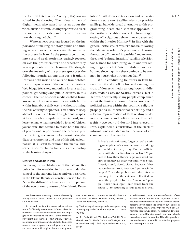the Central Intelligence Agency (CIA) was involved in the shooting. The indeterminacy of digital media also raised concerns about the video outside of Iran, leading reporters to track the source of the video and uncover information about Agha-Soltan.<sup>21</sup>

Western news coverage focused on the importance of making the story public and finding accurate ways to characterize the nature of the protests in Iran. As the protests continued into a second week, stories increasingly focused on *who* the protesters were and whether they were representative of all Iranians. The struggle over the meaning of the protests grew over the following months among diasporic Iranians. Iranians both inside and outside Iran debated their interpretations of the events in editorials, Web blogs, Web sites, and online forums and at political gatherings and public lectures. In this context, the use of social media enabled Iranians outside Iran to communicate with family within Iran about daily events without running the risk of using telephones. This ability to keep abreast of events in Iran through photographs, videos, Facebook updates, tweets, and, to a lesser extent, e-mails provided a form of "citizen journalism" that seemed to evade both the bias of professional reporters and the censorship of the Iranian government. Before considering the diasporic responses and uses of this citizen journalism, it is useful to examine the media landscape in postrevolution Iran and its relationship to the Iranian diaspora.

## **Distrust and Media in Iran**

Following the establishment of the Islamic Republic in 1980, television in Iran came under the control of the supreme leader and was described in the Islamic Republic's constitution as a tool to "serve the diffusion of Islamic culture in pursuit of the evolutionary course of the Islamic Revolution."22 All domestic television and radio stations are state run. Satellite television provides an illegal but widespread alternative to this programming.23 Satellite dishes first appeared in the northern neighborhoods of Tehran in 1991, setting off a vigorous debate in newspapers and within the Interior Ministry.<sup>24</sup> In line with the general criticisms of Western media following the Islamic Revolution's program of cleansing the nation of "internal impurities" and external threats of "cultural invasion," satellite television was blamed for corrupting youth and weakening religious belief. Satellite dishes have been banned since 1995, but they continue to be common in households throughout Iran.25

While conducting fieldwork in Iran between 2006 and 2008, I observed a strong distrust of domestic media among lower-middleclass, middle-class, and wealthy Iranians I met in Tehran. Specifically, many people complained about the limited amount of news coverage of political unrest within the country, religious propaganda in international reporting, and a selective representation of facts relating to domestic economic and political issues. Rouzbeh, a thirty-two-year-old doctor I interviewed in Iran, explained his frustration at the "lack of information" available in Iran because of government control of media:

> In Iran's political scene, forget us, we're nothing—people much more important and bigger could not do anything. Even an official party, with the media—like radio, like TV, you have to have these things to get your word out. How could they do that? Web sites? Web blogs? Closed, closed, closed, closed. So, even if they let you do your work, how could you reach the people? That's the problem with the information we get—from the state-controlled Seda va Sima, the people of Iran are "monotone" people—their "data input" only comes from one source . . . So, returning to your question of what

21. See the HBO documentary *For Neda*, directed by Antony Thomas (2010); screened at Los Angeles Press Club, 7 June 2010.

22. To this end, media outlets were to be used as a forum for "healthy encounter of different ideas, but they must strictly refrain from diffusion and propagation of destructive and anti-Islamic practices." Iran's eight local channels consist entirely of government programming: censored and dubbed American movies, news programs, football games, sermons and interviews with religious leaders, and government speeches and conferences. See also the Constitution of the Islamic Republic of Iran, chapter 12, "Radio and Television," article 175.

23. The Iranian parliament passed a law against using or trading any kind of satellite equipment on 12 January 1995.

24. See Fardin Alikhah, "The Politics of Satellite Television in Iran," in *Media, Culture, and Society in Iran*, ed. Mehdi Semati (Oxford: Taylor and Francis, 2008), 95–96.

25. While I was in Tehran in 2007, confiscation of satellite dishes and fines became a regular occurrence. Accurate numbers for satellite users in Tehran are understandably impossible to come by, but the recent documentary *Baad-E-Daboor* (*Head Wind*, dir. Mohammad Rasoulof, 2007) shows that satellite television use is incredibly widespread—and even extends to rural regions of the country. This widespread use has also been documented in recent ethnographies and news reports on Iran.

Eyewitness Accounts and Political Claims:

Eyewitness Accounts and Political Claims:

Janet A. Alexanian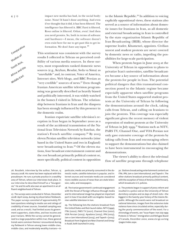

impact new media has had, in the social body: none. None! It hasn't done anything. And even if we thought that it did, it has been filtered. The intelligence has filtered it. BBC Farsi is filtered, Rooz online is filtered. Orkut, even! And then you need proxies. So, both in terms of software and hardware—I mean, the software doesn't even exist here for me to get past this to get information. We don't have any input. 26

This sentiment was consistent with the survey results I collected in Tehran on perceived credibility of various media sources. In these surveys, most respondents ranked domestic news sources (e.g., Keyhan, Resalat, Seda va Sima) as "unreliable" and, in contrast, Voice of America, Internet sites, Web blogs, and BBC Persian as "very credible" sources of news.<sup>27</sup> Even though Iranian American satellite television programming was generally described as heavily biased and politically interested, it was widely watched in the homes I visited in Tehran. The relationship between Iranians in Iran and the diaspora has been strongly influenced by this presence in the domestic realm.

Iranian expatriate satellite television's reception in Iran began in September 2000 as a result of the accidental transmission of the National Iran Television Network by Eutelsat, the station's French satellite company.<sup>28</sup> By 2003 eleven Persian satellite television networks (nine based in the United States and two in England) were broadcasting to Iran.<sup>29</sup> Of the eleven stations, four broadcast entertainment content and the rest broadcast primarily political content or, more specifically, political content in opposition

to the Islamic Republic.<sup>30</sup> In addition to voicing explicitly oppositional views, these stations also served as a source of information about domestic issues for Iranians in Iran, as all domestic and external broadcasting in Iran is controlled by the state organization Islamic Republic of Iran Broadcasting (IRIB), whose director the supreme leader, Khamenei, appoints. Civilian unrest and student protests are never covered by domestic news or radio, impeding the possibilities for large-scale participation.

When protests began in June 2003 at the University of Tehran in opposition to plans to privatize Iran's universities, satellite broadcasters became a key source of information about the protests for people in Iran. The potential political dangers that this transnational connection posed to the Islamic regime became especially apparent when satellite programs from the United States supported student protests at the University of Tehran by following the demonstrations around the clock, taking calls from Tehran, and calling on Iranians to join the protests. This coverage was especially significant given the recent memory of violent repression of student protests at the University of Tehran in July 1999.<sup>31</sup> Stations such as NITV, PARS TV, Channel One, and VOA Persian not only gave extensive coverage of the protests by taking calls from Iran and encouraging others to support the demonstrations but also claimed to have been instrumental in encouraging the demonstrations.

The viewer's ability to direct the televisual flow of satellite programs through telephone

26. Rouzbeh, interview by the author, Tehran, 15 January 2008. His name has been replaced with this pseudonym. He runs a private practice in a wealthy area of Tehran, where our interviews took place. In our interview he described himself as a "bourgeoisie." He and his wife also own an apartment in an affluent neighborhood of Tehran.

27. The surveys were conducted in Tehran, December 2008–April 2009, during my dissertation fieldwork. The paper surveys consisted of approximately fifteen questions relating to media use and ratings of credibility of news sources. Snowball sampling was used, and as a result, I had limited access to government supporters, state elites, and low-income and poor Iranians. While the survey cannot be generalized to a large population within Iran, these general trends were common themes I encountered during my fieldwork in Tehran among lower-middle-class, middle-class, and moderately wealthy Iranians—in

particular, media are primarily consumed in the domestic realm, satellite television is popular, and Internet sources and nonstate media are considered more credible sources of news than are state television, radio, and newspapers.

28. The Iranian government's continued engagement with the threat of foreign influence through media and its international image has played an important part in how it has dealt with Los Angeles–based Iranian satellite television in Iran.

29. The following lists the stations broadcast from the United States and their launch dates: NITV (1999), ITN1 (2000), PARS TV (2001), Channel One (2002), VOA Persian (2003), Apadana (2003), IPN (2003), Jam-e-Jam International (2003), and Tapesh 1 (2003). Broadcast from England are New Channel and Simaye-Azadi, both launched in 2003.

30. Stations broadcasting entertainment content are ITN1, IPN, Jam-e-Jam International, and Tapesh 1. The other stations broadcast primarily political content, with the exception of Voice of America (VOA Persian), which broadcasts U.S. policies.

31. The protests began in support of press reform and resulted in a police raid on the University of Tehran dormitory complex and six days of street riots—the biggest in the twenty-year history of the Islamic Republic. Although the events were not broadcast on national television, images from the extensive state violence have since circulated online, especially during the yearly commemoration of the event. For a chronology of events, see "Issue Paper: Iran July 1999 Protests in Tehran," Immigration and Refugee Board of Canada, December 2000, www.cisr.gc.ca/eng /pages/index.aspx.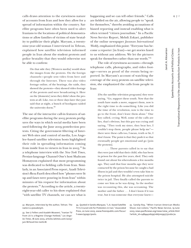calls draws attention to the eyewitness nature of accounts from Iran and how they allow for a spread of information within the country. Satellite programs have often been used to alert Iranians to the locations of political demonstrations or allow families of victims of state brutality to publicize their plight. Maryam, a twentynine-year-old woman I interviewed in Tehran, explained how satellite television informed people in Iran about the student protests and police brutality that they would otherwise not be able to confirm:

> On that side they [Western media] would show the images from the protests. On the foreign channels—people sent video from here and through the Internet. There was also video footage online, of the beatings, the raids, they showed the protests—they showed video footage of the protests and were broadcasting it. Here on the [domestic] news they didn't show the protests at all. Like, two or three days later they just said that at night, a bunch of hooligans raided the university dorm.<sup>32</sup>

The use of the interactive call-in features of satellite programs during the 2003 protests prefigures the ways in which social media have been used following the June 2009 postelection protests. Citing the government filtering of Internet Web sites and control of media, Los Angeles–based satellite television hosts highlighted their role in spreading information coming from inside Iran to viewers in Iran in 2003.<sup>33</sup> In a telephone interview with the *New York Times*, Persian-language Channel One's host Shahram Homayoon explained that most programming was dedicated to fielding calls from Iran. Similarly, in an Associated Press report, Azadi Television's Reza Fazeli described how "phones were lit up and faxes were pouring in from Iran" within minutes of his request for information about the protests.34 According to the article, a twentyeight-year-old caller to his show explained that "with satellite TV channels, we can see what is

happening and we can tell other friends." Calls are fielded on the air, allowing people to "speak for themselves," thereby avoiding accusations of biased reporting and instead enabling what is often termed "citizen journalism." In a Pacific News Service Report, Mehdi Zokaei, publisher of the online newspaper *Javanan International Weekly*, emphasized this point: "Everyone has become a reporter [in Iran]—we get stories faxed to us without any address. We let the pictures speak for themselves rather than use words."35

The role of eyewitness accounts—through telephone calls, photographs, and video footage—serves as proof of the events being reported. In Maryam's account of watching the coverage of the 2003 protests on satellite television, she emphasized the calls from people in Iran:

> [On the satellite television programs] they were saying, "Go, support these youth. Now that the youth have made a move, support them, now is the right time to do something. Like you did the time of the revolution, now is the time to go to the front, don't leave them alone." One boy called, crying. Well, some of the calls are lies, that's obvious, but this guy was crying and saying, "They took my sister, they beat her, I couldn't stop them, people please help me" there were these calls too, I mean, truth or lie, I don't know. The point is that they push it so that eventually people get emotional and go [join the protests].

> . . . These parents called in to say that they were just told that their child, who has been in prison for the past five years, died. They only found out about his whereabouts a few months ago. They said that four months ago they were contacted by the prison because he caught a bad illness in jail and they wouldn't even take him to the prison hospital. He also attempted suicide twice in jail. They finally called the parents to come see him as he was dying. As the mother was recounting this, she was screaming. The mother and the father . . . I don't know if it was true, but it was someone that everyone knew—

32. Maryam, interview by the author, Tehran. The name is a pseudonym.

34. Quoted in Sandra Marquez, "L.A.-based Satellite TV Is Crucial Link for Protesters in Iran," Associated Press, 20 June 2003, www.freerepublic.com/focus/ f-news/932951/posts.

35. Sandip Roy, "When Iranian American Media Shout, Iran Listens," Pacific News Service, 19 June 2003, news.pacificnews.org/news/view\_article.html ?article\_id=2489442d25971dd311e3937731cd2c7a.

Eyewitness Accounts and Political Claims:

Eyewitness Accounts and Political Claims:

Janet A. Alexanian

<sup>33.</sup> See Li Fellers and Azadeh Moaveni, "Iranian TV from LA Is a Regime-Change Hotbed," *Los Angeles Times*, 18 June 2003, articles.latimes.com/2003/ jun/18/local/me-irantv18.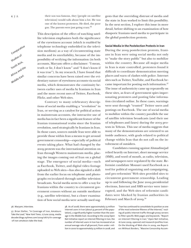their son was famous, they [people on satellite television] would talk about him a lot. He was one of the known protesters. He died, the poor guy. The parents were just going crazy.<sup>36</sup>

This description of the effect of watching satellite television emphasizes both the significance of the eyewitness account (which is enabled by telephone technology embedded in the television medium) as a way of circumventing state media and its unreliability, because of the impossibility of verifying the information (in both accounts, Maryam offers a disclaimer: "I mean, truth or lie, I don't know" and "I don't know if it was true"). In my research, I have found that similar concerns have been raised over the evidentiary nature of eyewitness accounts via social media, which demonstrates the continuity between earlier uses of media by Iranians in Iran and the more recent uses of Twitter, Facebook, Flickr, and other Web sites.

Contrary to many celebratory descriptions of social media enabling a "revolution" in Iran, or serving as a catalyst for political action in mainstream accounts, the interactive use of media has in fact been a significant feature of the Iranian transnational realm since the Iranian revolution, used strategically by Iranians in Iran. In those cases, sources outside Iran were able to provide those within Iran a means to get around government censorship—especially of political events taking place. What had changed by the 2009 protests was the international attention on Iran through Western mainstream media, placing the images coming out of Iran on a global stage. The emergence of social media—such as Facebook, Twitter, and digital video footage uploaded to Web sites—has also signaled a shift from the earlier focus on telephone and photographs recirculated through satellite television broadcasts. Social media seem to offer a way for Iranians within the country to circumvent government censors without an outside mediator (e.g., satellite television), but a closer examination of how social media were actually used suggests that the overriding distrust of media and the state in Iran worked to limit this possibility. In the next section, I explore this issue in more detail, before shifting to an examination of how diasporic Iranians used media to participate in the global postelection protests.

## **Social Media in the Postelection Protests in Iran**

During the 2009 postelection protests, Iranians in Iran were using social media not only to "make the story public" but also to mobilize within the country. Because all major media in Iran is state controlled, protesters found it difficult to coordinate demonstration meeting places and warn of clashes with police. Internet sites such as Twitter, YouTube, and Facebook became important for posting such information.37 The issue of authenticity came up repeatedly on these sites, as fears of government spies impersonating protesters and posting false information circulated online. In these cases, warnings were sent through "trusted" Twitter users and postings on Facebook. The use of social media to mobilize within the country parallels the use of satellite television broadcasts (and their use of telephones and faxes) during the 2003 protests in Tehran. This use of media suggests that many of the demonstrations are oriented to an inside audience, with goals related to political change within Iran that do not call on the involvement of outsiders.

Candidates running against Ahmadinejad relied heavily on Internet, short message service (SMS), and word of mouth, as radio, television, and newspapers were regulated by the state. Reformist candidate Mousavi used Facebook as a tool for political organizing and campaigning, and pro-reformists' Web sites provided sites to circumvent government censorship. Leading up to and following the June 2009 presidential elections, Internet and SMS service were interrupted, and the Web sites of reformist candidates were blocked by Iranian authorities in February and March of 2009.<sup>38</sup>

> "Iran has continued to consolidate its position as one of the most extensive filterers of the Internet," routing all public Internet traffic through proxy servers to filter specific Web pages and keywords. "Report on Internet Filtering in Iran," Open Net Initiative, 16 June 2009, opennet.net/research/profiles/iran. On the blocking of Web sites in 2009, see Reporters Without Borders, "Massive Censorship Accom-

36. Maryam, interview.

38. As of 2008, there were approximately 23 million Internet users in Iran (about 35 percent of the population), a significantly higher number than the average in the Middle East. According to the 2009 Open Net Initiative report on Internet filtering in Iran, the number of Internet users in Iran has increased at an annual average rate of 48 percent, from under 1 million in 2000 to approximately 23 million in 2008, and

 Comparative Studies of South Asia, Africa and the Middle East

<sup>37.</sup> Brian Stelter, "In Coverage of Iran, Amateurs Take the Lead," *New York Times*, 17 June 2009, media decoder.blogs.nytimes.com/2009/06/17/in-coverage -of-iran-amateurs-take-the-lead.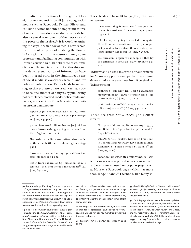After the revocation of the majority of foreign press credentials on 18 June 2009, social media such as Facebook, Twitter, Flickr, and YouTube became not only an important source of news for mainstream media broadcasts but also a central component of the news story of the protests themselves.39 It is worth examining the ways in which social media have served the different purposes of enabling the flow of information within the country among some protesters and facilitating communication with Iranians outside Iran. In both these cases, anxieties over the indeterminacy of authorship and the decontextualization of information have been integral parts in the simultaneous use of social media as eyewitness account and for political mobilization. Twitter feeds from Iran suggest that protesters have used tweets as a way to warn one another of dangers by publicizing police violence, blocked roads, police raids, and tactics, as these feeds from @persiankiwi Twitter stream demonstrate:

> reports of gun shots in Sadatabad too—we heard gunshots from that direction about 45 mins ago (15 June, 2:49 p.m.)

> pedestrians avoid military baraks [*sic*] off Pasdaran St—something is going to happen from there (15 June, 1:06 p.m.)

> Gohardasht in Karaj—confirmed—people in the street battles with militia (15 June, 12:59 p.m.)

> anyone with camera or laptop is attacked in street (16 June 12:02 a.m.)

> just in from Baharestan Sq—situation today is terrible—they beat the ppls like animals<sup>40</sup> (24) June, 6:34 a.m.)

These feeds are from @Change\_For\_Iran Twitter stream:

> they were waiting for us—they all have guns and riot uniforms—it was like a mouse trap (24 June, 6:53 a.m.)

> it looks they are going to attack dorms again! IRG's [Iranian revolutionary Guard] chopper just passed by Yousefabad. there is noting [*sic*] left to destroy over there! (16 June, 7:55 a.m.)

> IRG threaten to open fire at people if they try to participate in Mousavi's rally<sup>41</sup> (15 June, 2:21) a.m.)

Twitter was also used to spread announcements for Mousavi supporters and publicize upcoming demonstrations, as were these from @persiankiwi Twitter stream:

> confirmed—tomorrow Haft Teer Sq at 4pm pro mousavi\freedom—carry flowers for baseej—no confrontation (16 June, 11:40 a.m.)

> confirmed—only official mousavi march is today valli asr to jaam jam $42$  (16 June, 4:33 a.m.)

These are from @MOUSAVI1388 Twitter stream:

> Next peaceful protest, Tomorrow (05 Aug.), 9 am, Baharestan Sq. in front of parliament (4 August, 7:24 a.m.)

> URGNT@ ALL jornlsts, Tday 15:30 Prss Conf. in Tehran, Sadr MotrWay, Kave Shomali Blvd, Roshanayi St, Bahar Shomali St. Num. 9<sup>43</sup> (16 June, 2:31 a.m.)

Facebook was used in similar ways, as Twitter messages were reposted as Facebook updates and events were posted on popular pages, such as Mousavi's Facebook page (which has more than 126,900 fans).<sup>44</sup> Facebook, like many so-

40. twitter.com/PersianKiwi (accessed 19 June 2009). As of January 2010, PersianKiwi had more than thirtyone thousand followers. It is worth noting that while a Twitter location could be set to Iran, there is no way to confirm whether the tweet is in fact coming from someone in Iran.

41. @Change for Iran Twitter Stream, twitter.com/ Change\_for\_Iran (accessed 19 June 2009). As of January 2010, Change\_for\_Iran had more than twenty-five thousand followers.

42. twitter.com/PersianKiwi (accessed 19 June 2009).

43. @MOUSAVI1388 Twitter Stream, twitter.com/ MOUSAVI1388 (accessed 19 June 2009). As of January 2010, MOUSAVI1388 had more than twenty-seven thousand followers.

44. On this page, visitors are able to read updates, contact Mousavi through e-mail, link to his Twitter account, view photo albums (such as "Governmental Violence" or "Showing Green Power") and videos, and find recommended sources for information, specifically, Iranian Web sites. While the number of fans suggests the page's popularity, it is not necessary to be a fan in order to view the page.

Eyewitness Accounts and Political Claims:

Eyewitness Accounts and Political Claims:

Janet A. Alexanian

panies Ahmadinejad 'Victory,'" 3 June 2009, www .rsf.org/Massive-censorship-accompanies.html; and Rebekah Heacock and Rob Faris, "Cracking Down on Digital Communication and Political Organizing in Iran," Open Net Initiative Blog, 15 June 2009, opennet.net/blog/2009/06/cracking-down-digital -communication-and-political-organizing-iran.

<sup>39.</sup> See "Iran's Twitter Revolution," *Washington Times*, 16 June 2009, www.washingtontimes.com/ news/2009/jun/16/irans-twitter-revolution; and Brad Stone and Noam Cohen, "Social Networks Spread Defiance Online," *New York Times*, 16 June 2009, www.nytimes.com/2009/06/16/world/middle east/16media.html.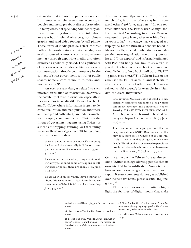

cial media that are used to publicize events in Iran, emphasizes the eyewitness account, as people send messages about direct observation (in many cases, not specifying whether they observed something directly or were told about an event by a firsthand observer), post photographs, and send video footage by cell phone. These forms of media provide a stark contrast both to the constant stream of state media, generally discussed as untrustworthy, and to commentary through expatriate media, also often dismissed as politically biased. The significance of eyewitness accounts also facilitates a form of communication already commonplace in the context of strict government control of public spaces, namely, word of mouth, rumors, and, more recently, SMS.

An ever-present danger related to such informal circulation of information, however, is the possibility of false information, especially in the cases of social media (like Twitter, Facebook, and YouTube), where information is open to decontextualization and manipulation and where authorship and authenticity are indeterminate. For example, a common theme of Twitter is the threat of government agents using Twitter as a means of trapping, framing, or threatening users, as these messages from @Change\_For\_ Iran Twitter stream show:

> there are now rumors of mousavi's site being hacked and the whole rally is IRG's trap. gun placements at azadi square confirmed (15 June, 3:07 a.m.)

> Please note I never said anything about creating any type of hand bomb or weapons or killing basiji or police! there are all false! (19 June, 4:44 a.m.)

> Please RT with my username, they already know about this account and at least it would reduce the number of false RTs & I can block them<sup>45</sup> (19) June, 4:43 a.m.)

This one is from @persiankiwi: "only official march today is valli asr. others may be a trap avoid others" (16 June,  $3:24$  a.m.).<sup>46</sup> In one representative case, the Twitter user Change\_for\_ Iran tweeted "according to rumor Mousavi requested all people to gather near his office at 12:30pm today"—a message that was tagged as a trap by the Tehran Bureau, a news site based in Massachusetts, which describes itself as an independent news organization comprising journalists and "Iran experts" and is formally affiliated with PBS: "@Change\_for\_Iran this is a trap! If you don't believe me then check with mousavi sites. Order is to hold back until word. Pls RT" (13 June, 11:22 a.m.). $47$  The Tehran Bureau has also used its Twitter account and Web site to alert people in Iran of other possible dangers related to "fake tweets"; for example, in a "Sunday Iran Alert" they warned:

> Ghalamnews, Mousavi's official setad site, has officially confirmed the march along Valiasr tomorrow (Monday) and a national strike on Tuesday. PLEASE FWD THIS NEWS TO ALL. Also, pls post on Facebook—it is blocked, but many can bypass filter and access it. (14 June, 11:39 a.m.)

> There is another rumor going around that the basij has stationed SNIPERS on valiasr . . . this may be a scare tactic rumor, but it is not unlikely . . . which makes things so much more deadly. This should also be warned so people see how brutal the regime is prepared to be—worse than the Shah's army. $^{48}$  (14 June, 11:39 a.m.)

On the same day the Tehran Bureau also sent out a Twitter message alerting people that its own site had been infiltrated: "sorry tehranbureau.com down. we got hacked and have to repair. if your comments do not get published over the next few hours, please resend" (14 June, 9 a.m.).49

These concerns over authenticity highlight the features of digital media that make

45. twitter.com/CHange\_for\_Iran (accessed 19 June 2009).

46. twitter.com/PersianKiwi (accessed 19 June 2009).

47. See Tehran Bureau Web site, ww.pbs.org/wgbh/ pages/frontline/tehranbureau/us. The message is from twitter.com/Tehranbureau (accessed 19 June 2009).

48. "Iran Sunday Alerts," 14 June 2009, Tehran Bureau, www.pbs.org/wgbh/pages/frontline/tehran bureau/2009/06/sunday-iran-alerts.html.

49. twitter.com/Tehranbureau (accessed 19 June 2009).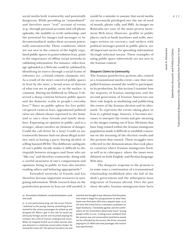social media both trustworthy and potentially dangerous. While providing an "unmediated" and therefore more "real" account of events (e.g., through personal accounts and cell phone uploads), the inability to verify authorship, and the potential for images and messages to be decontextualized, makes these accounts potentially untrustworthy. These conditions, which are not new in the context of the highly regulated public spaces in postrevolution Iran, point to the importance of offline social networks in validating information. For instance, video footage uploaded to a Web site could be validated by identifying its source through a social frame of reference (i.e., a friend, relative, classmate, etc). As a result of the strict control of public spaces in Iran by the state, a broad sense of distrust of what you see in public, or on the surface, is common. During my fieldwork in Tehran, I observed a sharp contrast between public spaces and the domestic realm in people's everyday lives.50 Since no public sphere for free political speech exists in Iran, oppositional political views are almost always expressed in the home and to one's close friends and family members. Expressing an opinion in public, and to a stranger, always involves an element of danger. Could the cab driver be a *basij*? Could an untrustworthy listener find out about illegal activities, such as having a party, buying alcohol, or selling banned DVDs? The deliberate ambiguity of one's public facade makes it difficult to distinguish between strangers and those who are "like you" and therefore trustworthy. Along with a careful awareness of one's comportment and opinions, being in public in Iran also involves reading others and behaving appropriately.<sup>51</sup>

Extended networks of friends and kin therefore become important resources in navigating information. While research data on the postelection protests in Iran are still needed, it

50. Dissertation fieldwork, conducted between 2006 and 2008.

would be a mistake to assume that social media are necessarily privileged over the use of word of mouth, phone calls, and SMS. As images on Rahesabz.net (one of the main protest movement Web sites) illustrate, graffiti in public places, such as bank machines and walls, messages written on currency, and stickers with political messages posted in public places, are all important tactics for spreading information through informal means. These examples of using public space subversively are not new in the Iranian context.

## **Diasporic Claims to Community**

The Iranian postelection protests also existed as a transnational media event—one that compelled Iranians around the world to participate in its production. In this section I examine how the majority of Iranian immigrants and the second generation of Iranian Americans saw their role largely as mediating and publicizing the events of the Iranian election and its aftermath. To represent the events taking place in Iran to a global stage, however, it becomes necessary to interpret the events and give meaning to the images coming out of Iran. Divisions that have long existed within the Iranian immigrant population made it difficult to establish consensus on the meaning of the election results and the protests that ensued. These struggles were reflected in the demonstrations that took place in countries where Iranian immigrants lived, as well as in cyberspace, where the issues were debated on both English- and Persian-language Web sites.

The diasporic response to the protests is in some ways a continuation of a transnational relationship established after the fall of the shah's government and the subsequent mass migration of Iranians abroad. Over the past three decades, Iranian immigrants have been

said that she thought it was ridiculous that the police had made it illegal for young women to wear their boots over their jeans (this was a popular topic, as at the time this trend led to a renewed crackdown on *hijab* violations). I hesitantly agreed, and she continued to air her frustrations about how much "young people suffer in Iran." Feeling more confident that the woman was not conservative (and hence would not be offended by the music), the driver resumed playing his CD. With each new passenger, this routine was reperformed.

Eyewitness Accounts and Political Claims:

Eyewitness Accounts and Political Claims:

Janet A. Alexanian

<sup>51.</sup> In one particularly long cab ride across Tehran, I watched as the young, twenty-something driver reacted to the various passengers he picked up and dropped off. When I got in the cab, he heard my obviously foreign accent and resumed playing his compact disc (CD) of Iranian underground music. When he stopped to pick up an older woman who was dressed in a relatively conservative chador, he turned the music off. The woman turned to me and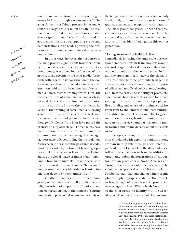Comparative Studies of South Asia, Africa and the Middle East

forceful in participating in and responding to events in Iran through various media.<sup>52</sup> The 2003 University of Tehran protests, for example, spurred a large-scale reaction on satellite television, online, and in demonstrations in cities where significant numbers of Iranians lived. In 2009, much like in 2003, opposing events and demonstrations were held, signifying the divisions within Iranian communities at these various locations.

In other ways, however, the responses to the 2009 protests signal a shift from what came before. What is new in the case of the postelection protests, as outlined in the first part of this article, is the specificity of social media (especially with regard to its construction of the eyewitness), as well as the tremendous international attention paid to Iran in mainstream Western media—both factors are important. First, the specific features of social media have vastly increased the speed and volume of information transmission from Iran to the outside world. Second, the framing of social media as having a significant role in the election protests and the constant stream of photographs and video footage of violence from Iran have placed the protests on a "global stage." These factors have made it more difficult for Iranian immigrants to assume the role of mediating these images or, more generally, controlling their circulation. As has been the case over the past three decades (and most evidently in times of hostile geopolitical relations between Iran and the United States), the global image of Iran is vitally important to Iranian immigrants, not only because of their continued investments in the "homeland," but because their very identities as Iranian immigrants depend on the signifier "Iran."

Finally, differences within Iranian immigrant populations not only reflect differences of religious orientation, political affiliations, and time of migration but, in the context of shifting immigration patterns, also have increasingly reflected generational differences between early Iranian migrants and the more recent wave of graduate student and temporary work migrants. The latter group has grown up with the presence of diasporic Iranians through satellite television and state characterizations of them and, as a result, has identified against this earlier generation.

#### **"Raising Awareness" as Political Action**

Immediately following the large-scale postelection demonstrations in Iran, Iranians around the world organized local protests to draw international attention to the political unrest in Iran and the apparent illegitimacy of the elections. This response became particularly urgent as Iran grew more violent every day, with reports of official and unofficial police arrests, beatings, and, in some cases, the shooting of protesters. The Internet became a vital resource for broadcasting information about missing people, police brutality, and arrests of prominent activists from Iran to the "international community." In addition to protests and candlelight vigils in many communities, Iranian immigrants also gave news interviews and participated in public forums and online debates about the events in Iran.

Images, videos, and information from Iran circulated with explosive rapidity among Iranian immigrants through social media particularly on Facebook in the days and weeks following the election in Iran. In addition to organizing public demonstrations of support for Iranian protesters in North America and Europe, new forms of online activity came to be construed as "political action." For example, on Facebook, many Iranians changed their profile photos to photographs related to the protests in Iran (images of police brutality, protesters), to messages such as "Where Is My Vote?" and to the color green (to identify with the Green Movement) or black (as a symbol of mourning),

> 52. During the 1999 student protests in Iran, for example, Iranians acquired information through telephone calls with relatives, as well as photographs that circulated from Iran to mainstream Western news agencies. In 2003 the Internet and satellite television played a critical role in allowing direct communication with protesters in Iran. Political events organized in the diaspora prominently featured photos of police violence uploaded through the Internet.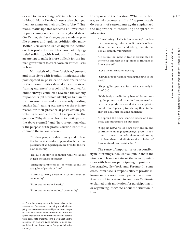or even to images of Agha-Soltan's face covered in blood. Many Facebook users also changed their last names on their profiles to "*Irani*" (Iranian). Status updates reflected an investment in publicizing events in Iran to a global stage. On Twitter, similar changes were made to profile pictures and updates. Additionally, many Twitter users outside Iran changed the location on their profile to Iran. This move not only signaled solidarity with Iranians in Iran but was an attempt to make it more difficult for the Iranian government to crackdown on Twitter users in Iran.

My analysis of online "activism," surveys, and interviews with Iranian immigrants who participated in postelection demonstrations in their communities showed an emphasis on "raising awareness" as a political imperative. An online survey I conducted revealed that among respondents (all of whom identify as Iranian or Iranian American and are currently residing outside Iran), raising awareness was the primary reason for their presence at postelection protests, vigils, and lectures.53 In response to the question "Why did you choose to participate in the above event(s)?" and "In your opinion, what is the purpose of the protests outside Iran?" this common theme was recurrent:

> "To show people in this country and in Iran that Iranians abroad are opposed to the current government and, perhaps more broadly, the Iranian theocracy"

> "Because the stories of human rights violations in Iran should be broadcast"

> "Bringing awareness to the world about the struggles of people of Iran"

> "Mainly to bring awareness for non-Iranian community"

"Raise awareness in America"

"Raise awareness in my local community"

53. The online survey was administered between November and December 2009, using snowball sampling. Surveys were completed by Iranians or people of Iranian descent in North America and Europe. Respondents identified where they and their parents were born. Data presented in this article reflect the responses by Iranians living outside Iran and people living in North America or Europe with Iranian ancestry.

In response to the question "What is the best way to help protesters in Iran?" approximately 60 percent of respondents again emphasized the importance of facilitating the spread of information:

> "Transferring reliable information to/from Iranian community, inform public outside of Iran about the movement and asking the international community for support"

> "To assure that news in Iran is transmitted to the world and that the opinions of Iranians in Iran is shared"

"Keep the information flowing"

"Showing support and spreading the news to the world"

"Helping Europeans to learn what is exactly in Iran" [*sic*]

"With foreign media being banned from covering the protests and issues in Iran, we need to help them get the news and videos and photos out of Iran. Especially translating them to English for non-Farsi speaking audiences"

"To spread the news (sharing videos on Facebook, allocating posts on our blogs)"

"Support networks of news distribution and continue to arrange gatherings, protests, lectures . . . aimed at non-Iranians as well, trying to inform them and eliminate the isolation of Iranians inside and outside Iran"

The sense of importance or responsibility in informing a non-Iranian public about the situation in Iran was a strong theme in my interviews with Iranians participating in protests in Los Angeles, New York, and Toronto. In some cases, Iranians felt a responsibility to provide information to a non-Iranian public. Two Iranian Americans I interviewed in Southern California explained their motivation for participating in or organizing interviews about the situation in Iran:

Eyewitness Accounts and Political Claims:

Eyewitness Accounts and Political Claims:

Janet A. Alexanian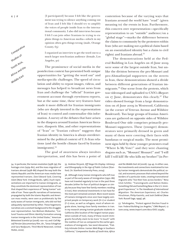I organized an interview to get the word out to a much larger non-Iranian audience (female, Los Angeles, 30)

The prominence of social media in the postelection context has presented both unique opportunities for "getting the word out" and media-specific challenges. The speed of circulation and ability to repost images, videos, and messages has helped to broadcast news from Iran and challenge the "official" Iranian government account through eyewitness reports, but at the same time, these very features have made it more difficult for Iranian immigrants (who are deeply invested in the representation of Iran) to control and contextualize this information. A survey of the debates that have arisen in the diaspora around Iranian American literature, diasporic film, and other representations of "Iran" or "Iranian culture" suggests that Iranian identity in America is always overdetermined by the political context of U.S.-Iran relations (and the hostile climate faced by Iranian immigrants).<sup>54</sup>

The goal of awareness always involves interpretation, and this has been a point of

54. In particular, the Iranian revolution (1978–79), the hostage crisis (1979–80), and the mass migration of Iranians abroad (1978–86) shaped the way both the Islamic Republic and the American mass media have represented Iranians. (See Edward Said, *Covering Islam* [New York: Vintage Books, 1981].) Such representations are important to Iranian immigrants, as they constitute the dominant representation of Iran that shaped their experience of "being Iranian" outside of Iran. These specific narratives of Iranianness, propagated by both the Islamic Republic and American mass media, were seen as problematic by the early waves of Iranian immigrants, who did not feel adequately represented by either. These hegemonic narratives are a constant background to the struggles over representation. See Mohsen Mobasher, "Cultural Trauma and Ethnic Identity Formation among Iranian Immigrants in the United States," *American Behavioral Scientist* 50 (2006): 100–117; and *I Call Myself Persian* (documentary film, dir., Tanaz Eshaghian and Sara Nodjoumi, Third World Newsreel, United States, 2002).

55. Andrew Shryock, *Off Stage/On Display: Intimacy and Ethnography in the Age of Public Culture* (Stanford, CA: Stanford University Press, 2004).

56. Although many Iranian immigrants who left Iran as part of the early waves of immigration (1950–86) have not traveled regularly to Iran in the past three decades (either for fear of political dangers or simply because they have few family members residing in Iran), their emotional investments in Iran have for the most part remained constant. More recent waves of Iranians immigrants since 2001 have largely comprised people on temporary work (H-1) or student (F-1) visas, as well as refugees, most of whom migrate alone, leaving close family members in Iran. In my research among Iranian graduate students in California (the location of the largest Iranian population outside of Iran), many of these recent immigrants forcefully claim to be more "in touch" with the realities of Iran as compared to the earlier generations of immigrants. See Janet Alexanian, "Publicly Intimate Online: Iranian Web Blogs in Southern California," *Comparative Studies of South Asia, Africa* 

contention because of the varying ways that Iranians around the world have "read" (given meaning to) the events in Iran. Furthermore, this concern over representation—specifically representation to an "outside" audience/on a "global stage"—marks the difference between the claims to community by the protesters within Iran (who are making not a political claim based on an essentialized identity but a claim to civil rights) and Iranians abroad.55

The demonstrations held at the Federal Building in Los Angeles on 16 June 2009 were some of the largest outside Iran, but unlike the division between the pro-Mousavi and pro-Ahmadinejad supporters on the streets in Iran, these demonstrations showed a divide between different generations of Iranian immigrants.56 One scene from the protests, which was videotaped and uploaded to CNN's iReport on 17 June, demonstrates this clearly.57 The video showed footage from a large demonstration on 16 June 2009 in Westwood, California (at the corner of Veteran Avenue and Wilshire Boulevard). Two large groups of Iranian Americans are gathered on opposite sides of Wilshire Boulevard One side comprises primarily pro-Mousavi supporters. These (younger) demonstrators were primarily dressed in green and many of them were covering their faces with bandanas or surgical masks. The most prominent signs held by these younger protesters read "Where Is My Vote?" and they were chanting slogans such as, "Mousavi! Mousavi!" and "I will kill! I will kill! He who kills my brother!"(in Per-

> *and the Middle East* 26 (2006): 134–45. In either case, the investments and connections maintained to Iran by Iranian immigrants demonstrate the political, social, and economic processes that extend beyond the borders of a particular state, creating transnational migrants who "live their lives across borders." Nina Glick Schiller, "Transmigrants and Nation-States: Something Old and Something New in the U.S. Immigrant Experience," in *The Handbook of International Migration: The American Experience*, ed. Charles Hirschman, Philip Kasinitz, and Josh DeWind (New York: Russell Sage, 1999), 96.

> 57. TehrAngeles, "Protest against Election Fraud in Iran: Federal Building Los Angeles," CNN iReport, 17 June 2009, www.ireport.com/docs/DOC-273363.

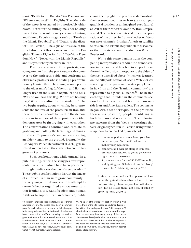sian), "Death to the Dictator!"(in Persian), and "Where is my vote?" (in English). The other side of the street is occupied by a noticeably older crowd (hereafter the antiregime side) holding flags of the prerevolutionary era and chanting anti-Islamic Republic slogans such as "Death to the Islamic Republic!" and "Death to the dictator!" (in Persian). The signs on this side of the street also reflect this message and read (in English) "Human Rights for Iran," "We Want Freedom Now," "Down with the Islamic Republic," and "Boycott Phony Elections in Iran."

During the course of the protests, one young woman from the pro-Mousavi side comes over to the antiregime side and confronts an older male protester who is holding a prerevolutionary Iranian flag. The young woman points to the older man's flag (of the sun and lion, no longer used in the Islamic Republic) and yells, "Why do you have this flag? We are not holding flags! We are standing for the students!" The two begin arguing about which flag best represents the motives of the protesters in Iran and, therefore, which should be used in the demonstrations in support of those protesters. Other demonstrators begin arguing with each other. The confrontations continue and escalate to grabbing and pulling the large flags, yanking a bandana off a protester's face, and even pushing an older woman to the ground. Eventually, the Los Angeles Police Department (LAPD) gets involved and breaks up the clash between the two groups of protesters.

Such confrontations, while unusual in a public setting, reflect the struggles over representation of Iran, which have been performed through media over the past three decades.<sup>58</sup> These public confrontations disrupt the image of a unified Iranian immigrant community the very image the demonstrations attempt to create. Whether organized to show Americans that Iranians, too, want freedom and human rights or to support Iranian activists by publi-

58. Persian-language satellite television programs, newspapers, and Web sites have been a common place for such debates. In the 2009 postelection protests, many videos of demonstrations in the diaspora have circulated on YouTube, showing the various groups within the diaspora, as well as confrontations like the one described above. For a similar confrontation in Toronto, see, e.g., TOGirlTube, "Confrontation," 22 June 2009, YouTube, www.youtube.com/ watch?v=f0JHIBiPdaI&feature=related.

cizing their plight, the protesters demonstrate their transnational ties to Iran (as a real geographical location or an imagined past/future) as well as their concerns over how Iran is represented. The protesters contested other interpretations of the unrest in Iran—whether on Western news channels, Iranian American satellite television, the Islamic Republic state discourse, or the protesters across the street on Wilshire Boulevard.

While this scene demonstrates the competing interpretations of what the demonstrators in Iran want and how best to support them, the online discussion in response to the video of the scene described above (which was featured on the "iReport" section of CNN's Web site) was revealing of the passionate stakes people held in how Iran and the "Iranian community" are represented to a global audience.<sup>59</sup> The heated exchange that unfolded in the comments section for the video involved both Iranians outside Iran and American readers. The comments began with a set of critiques of the protesters themselves, posted by people identifying as both Iranians and non-Iranian. The following are excerpts from the Web site (postings that were originally written in Persian using roman script have been marked by an asterisk):

- 1. Ummmm, yeah wear a scarf over your face in stereotypical "terrorist" fashion, that makes you sympathetic.
- 2. You guys can't even get along at your own protest? Seriously, you're gonna get violent right there in the street?
- 3. So, you are there for the ISLAMIC republic, and lighting your SHABBOS candles? Irony? (Posted by PinkLife, 17 June, 5:15 PST)

I think the police and medical personnel have better things to do, than babysit a bunch of fools out protesting. I have no problem with decent [*sic*]. But do it over there, not here. (Posted by gpNV, 17 June, 5:15 PST)

59. As a part of the "iReport" section of CNN's Web site, editors of the site choose a popular and compelling video (shot and uploaded by a "citizen reporter") about a heated news topic to feature on this page. From 15 June to 25 June 2009, many of the videos chosen were directly related to the postelection protests in Iran. The video of the clash between protesters described above was featured for several days, beginning on June 17. TehrAngeles, "Protest against Election Fraud in Iran."

Eyewitness Accounts and Political Claims:

Eyewitness Accounts and Political Claims:

Janet A. Alexanian

anet A. Alexanian

439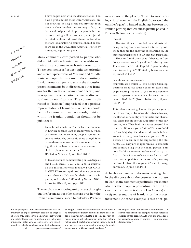Comparative Studies of South Asia, Africa and the Middle East

I have no problem with the demonstration, I do have a problem that these Irani/Americans, are not showing the flag of the country that took them in when they left their country in fear, the Stars and Stripes. I do hope the people in Iran demonstrating will be protected, not injured, arrested or slain. I do wish them the freedom they are looking for. All countries should be free as we are in the USA. Bless America. (Posted by Calnative, 17 June, 5:44 PST)

Many comments were posted by people who did not identify as Iranian and who addressed their critical comments to Iranian Americans. These comments reflect xenophobic attitudes and stereotypical views of Muslims and Middle Eastern people. In response to these postings, Iranian American participants in the discussion posted comments both directed at other Iranians (written in Persian using roman script) and in response to the negative comments directed to them by non-Iranians. The comments directed to "insiders" emphasized that a positive representation of Iranians to outsiders should be the foremost goal, and as a result, divisions within the Iranian population should not be publicized:

> Baba, be ashamed, I can't even leave a comment in English because I am so embarrassed. When you are in front of so many people from different countries, why do you do these things? Who cares why or on whose behalf you came, baba, be together. One hand does not make a sound . . . chill . . . pleaseeeeeeeeeeee<sup>60</sup> (Posted by Nina26, 18 June, 8:20 PST)\*

> Video of Iranians demonstrating in Los Angeles and FIGHTING. . . . WHY WHY WHY must we do this in front of world media?? THIS ONLY MAKES US sooo stupid. And then we get upset when others say "No wonder their country is in pieces, look at them." (Posted by Narmin Nikki [Toronto, ON], 18 June, 9:56 PST)

The emphasis on showing unity recurs throughout the forum, as does the concern over how the Iranian community is seen by outsiders. Perhaps in response to the plea by Nina26 to avoid writing critical comments in English (so to avoid the outsider's gaze), a heated exchange between two Iranian participants was subsequently posted in Persian (below is a translation):

#### nina26,

in Houston they surrounded me and insisted I bring my flag down. We are not interfering with them, they are the ones who are bugging us, the same thing happened in LA and San Diego. But in Houston I told them that if they want freedom, raise your own flag and I will raise my own. These are the Islamic Republic's people, they want to start fights<sup>61</sup> (Posted by brianhouston, 18 June, 8:20 PST)\*

#### brianhoustontexasneocon:

you really are a traitor . . . this being a Shah supporter is what has caused them to attack and begin beating students . . . you are really shameless . . . a person does not lie to his own countrymen . . . liar! Liar! $62$  (Posted by freethep, 18 June, 8:20 PST)\*

This video is amazing. I was at the protest yesterday. The group of Iranians who refused to carry the flag of our country are pathetic and shameful. These people are the supporters of the current regime. They had their faces covered like cowards! Who are you afraid of? You are NOT in Iran. Majority of students and people in Iran are not covering their faces, and you are!! What a joke. They claim to be supporting the students. BS. They are so ignorant as to associate our country's flag with the Shahi people. I am not a Shahi you morons just because I carry that flag. . . . I was forced to leave when I was 7 and I have not stepped foot on the soil of my country because I refuse this regime. (Posted by margbarmulah, 17 June, 3:15 PST)

As has been common in discussions taking place in the diaspora about the postelection protests in Iran, many comments specifically questioned whether the people representing Iran (in this case, the Iranian protesters in Los Angeles) are *really* representative of Iranians or the protest movement. Another example is this one: "pa-

60. Original post: "Baba khejalat bekeshid, hata nemitonam be englisi comment bezaram az khejalat. chera vaghty jeloyee inhame adam az keshvarayee mokhtalef khodetoon ro neshon midid in karharo mikoneed. aslan who cares ke az tarafe chi o ki omadeed baba baham basheed,ye dast seda nadare . . . . . . . . . . . . . chill . . . . . . . . . pleaseeeeeeeeeeeeeeee."

61. Original post: "mano to houston doram kardan ke parchamamo biaram pain ma bahashon kari nadarim ina gir dadan az aval to la ba san diego ham hamintor shodeh. vali to houstonam beheshon goftam mikhain azadi bia toboro parchame khodeto boland kon man parchame khodamo ina adamaye jomhorie eslami hastan mikhan dava rah bendazan."

62. Original post: "toh kheyli vatan foorooshi . . . in shahi boodan keh be daneshjuha hamleh kardan va shooroo kardan bezadan . . . kheyli bisharafi . . . adam be hamvatan dooroogh nemige . . . doorooghgoo! doorooghgoo!"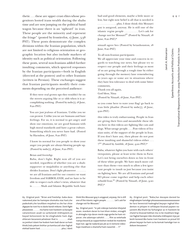thetic . . . these are upper crust elites whose progenitors looted irans wealth during the shahs time and are now jumping on the political band wagon because there is an 'upheavl' in iran. These people are the minority and represent the fringe" (posted by frontierfox, 17 June, 5:38 PST). These posts demonstrate the complex divisions within the Iranian population, which are not limited to religious orientation or geographic location but also include markers of identity such as political orientation. Following these posts, several non-Iranians added further insulting comments, which spurred responses by the Iranian participants—both in English (directed at the posters) and to other Iranians (written in Persian). These exchanges suggest that Iranian participants modify their comments depending on the perceived audience:

> If they were real grown ups they wouldn't be on the streets arguing like 10 yr olds when it is accomplishing nothing. (Posted by mdw77, 18 June, 8:20 PST)

> You are just jealous of Iranians. Unlike you we can protest. Unlike you we are humans and have feelings. For us, it is normal to get angry and show our emotions, we are good humans with high moral standards and have a great culture. Something which you never have had. (Posted by Harmless, 18 June, 8:20 PST)

> I know its normal for you people to show your anger you people are always blowing people up. (Posted by mdw77, 18 June, 8:20 PST)

# Brian and freetehp:

Baba, don't fight. Right now all of you are needed, regardless of whether you are a shahsupporter or mujahidin or anything else that divides Iranians. Don't fight pleaseeeee . . . . . . . we are all Iranians and for our country we want freedom and SARBOLANDI, and we have to be able to respect each other's views, whatever that is . . . . . . Shah and Islamic Republic both have

bad and good elements, maybe a little more or less, but right now belief is all that is needed is . . . . . . . . . . . . . plus, I dont think this Mousavi guy is anygood, anyway. He is still one of the islamic regim people . . . . . . . . . Let's ask for change not for Mousavi<sup>63</sup> (Posted by Nina26, 18 June, 8:20 PST)\*

nina26 agree bro (Posted by brianhouston, 18 June, 8:20 PST)

To all non-Iranian participants:

We all appreciate your time and concern in regards to watching our news, but please try to respect our people and their feelings as most of us are going through a rough time by either going through the memory lane remembering 10 years ago or some are in situations where they have less tolerance to deal with some bitter comments,

Thank you all again,

God bless, Nina

(Posted by Nina26, 18 June, 8:20 PST)

so you come here to wave your flag? go back to iran little jihadist (Posted by mdw77, 18 June, 9:20 PST)

this video is truly embarrassing. People in Iran are giving their lives and meanwhile these idiots here in this videos are fighting like cats and dogs. What savage people. . . . Post videos of Iranian unity, of the support of the people in Iran. If you don't have any, then please do not post these insulting and shameful videos either . . .  $!!^{64}$  (Posted by Antilife, 18 June, 9:20 PST)\*

Baba, whatever fights you have with each others' viewpoints, please at least write them in Farsi. Let's not bring ourselves down so low in front of these white people. We have much more culture than them—too much to allow a few ignorant people to insult us just because you insist on fighting here. We are all Iranians and proud SO please come together and help each other rebuild Iran.<sup>65</sup> (Posted by Nina26, 18 June, 9:20 PST)\*

63. Original post: "Brian and freetehp: baba dava nakoneed,alan be hameyee shomaha niaz hast,che padeshahi,che tarafdare mojahed va che har chize digeyee ke irani ha ro daste bandi mikone. Dont fight pleaseeeee . . . . . . . ma hame irani hasteem va barayee vatanemoon azadi va sarbolandi mikhayeem,va bayad betooneem ke be eteghadate ham dige ehteram bezareem,whatever that is . . . . . . . . . shah va jomhori islami har kodom ham badi daran va ham khobi,hala yekam bishtar ya kamtar,vali alan faghat etehad lazem hast . . . . . . . . . . . . . . . . . . . . . ..plus, I dont

think this Mousavi guy is anygood, anyway. He is still one of the islamic regim people . . . . . . . . . Let's ask for change not for Mousavi."

64. Original post: "in yek videoye kamelan khejalat avare. mardom daran to Iran khon midan, onvaght in ahmagha inja daran mesle sago gorbe be ham miparan. che adamaye vahshiii . . . .. film az eetehade iraniya bezarid,az supporteshon nesbat be mardome toye Iran. age ke nadarid pas plz az in nemone videohaye maskhare o shameful ham nazariiid . . . !!"

65. Original post: "Baba,har davayee dareed ba eteghadayee hamdige pleaaaaaaaaaaaaaaaaaaaaase be farsi benevisid hadeaghal.beyayn inghad khodemon ro jeloyee in sefidayee bisavad payeen nayareem.Ma khailii ba farhangtar az in hasteem ke chand ta bisavad bekhan ma ro be maskhare begiran faghat barayee inke shomaha mikhayeen inja yar keshi koneed.Ma hame Irani hasteem va proud SO please beyayn ba ham va ba komak hamdige Iran ro dobare besazeem."

Eyewitness Accounts and Political Claims:

Eyewitness Accounts and Political Claims:

Transnational Responses to the 2009 Postelection Protests in Iran

Transnational Responses to the 2009 Postelection Protests in Iran